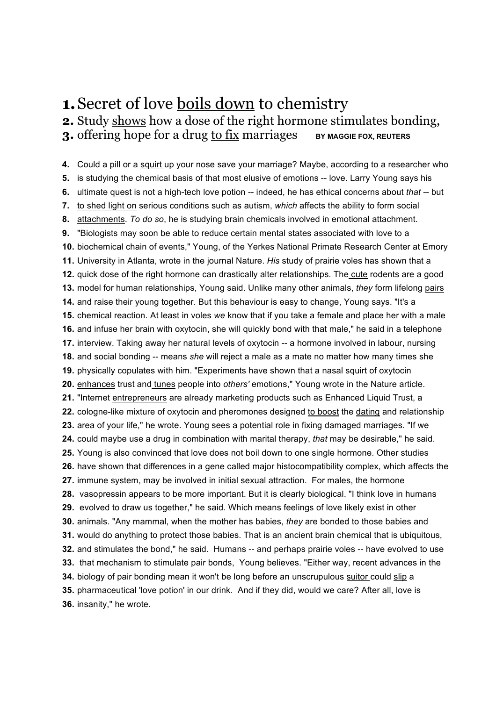# **1.**Secret of love boils down to chemistry

**2.** Study shows how a dose of the right hormone stimulates bonding,

**3.** offering hope for a drug to fix marriages **BY MAGGIE FOX, REUTERS** 

**4.** Could a pill or a squirt up your nose save your marriage? Maybe, according to a researcher who **5.** is studying the chemical basis of that most elusive of emotions -- love. Larry Young says his **6.** ultimate quest is not a high-tech love potion -- indeed, he has ethical concerns about *that* -- but **7.** to shed light on serious conditions such as autism, *which* affects the ability to form social **8.** attachments. *To do so*, he is studying brain chemicals involved in emotional attachment. **9.** "Biologists may soon be able to reduce certain mental states associated with love to a **10.** biochemical chain of events," Young, of the Yerkes National Primate Research Center at Emory **11.** University in Atlanta, wrote in the journal Nature. *His* study of prairie voles has shown that a **12.** quick dose of the right hormone can drastically alter relationships. The cute rodents are a good **13.** model for human relationships, Young said. Unlike many other animals, *they* form lifelong pairs **14.** and raise their young together. But this behaviour is easy to change, Young says. "It's a **15.** chemical reaction. At least in voles *we* know that if you take a female and place her with a male **16.** and infuse her brain with oxytocin, she will quickly bond with that male," he said in a telephone **17.** interview. Taking away her natural levels of oxytocin -- a hormone involved in labour, nursing **18.** and social bonding -- means *she* will reject a male as a mate no matter how many times she **19.** physically copulates with him. "Experiments have shown that a nasal squirt of oxytocin **20.** enhances trust and tunes people into *others'* emotions," Young wrote in the Nature article. **21.** "Internet entrepreneurs are already marketing products such as Enhanced Liquid Trust, a **22.** cologne-like mixture of oxytocin and pheromones designed to boost the dating and relationship **23.** area of your life," he wrote. Young sees a potential role in fixing damaged marriages. "If we **24.** could maybe use a drug in combination with marital therapy, *that* may be desirable," he said. **25.** Young is also convinced that love does not boil down to one single hormone. Other studies **26.** have shown that differences in a gene called major histocompatibility complex, which affects the **27.** immune system, may be involved in initial sexual attraction. For males, the hormone **28.** vasopressin appears to be more important. But it is clearly biological. "I think love in humans **29.** evolved to draw us together," he said. Which means feelings of love likely exist in other **30.** animals. "Any mammal, when the mother has babies, *they* are bonded to those babies and **31.** would do anything to protect those babies. That is an ancient brain chemical that is ubiquitous, **32.** and stimulates the bond," he said. Humans -- and perhaps prairie voles -- have evolved to use **33.** that mechanism to stimulate pair bonds, Young believes. "Either way, recent advances in the **34.** biology of pair bonding mean it won't be long before an unscrupulous suitor could slip a **35.** pharmaceutical 'love potion' in our drink. And if they did, would we care? After all, love is **36.** insanity," he wrote.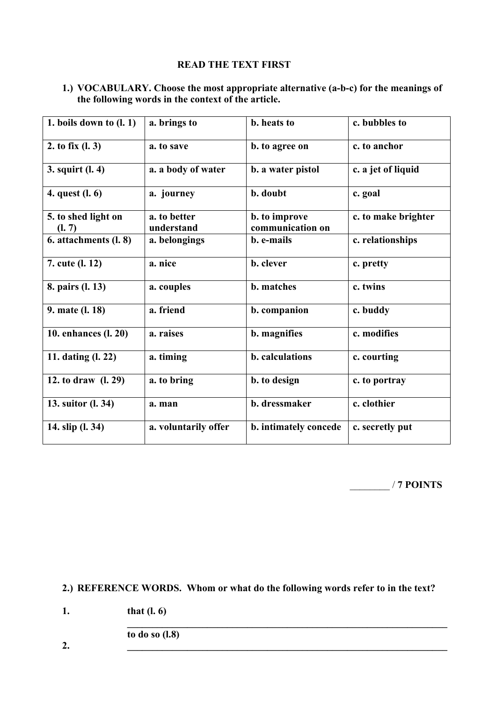### **READ THE TEXT FIRST**

| 1.) VOCABULARY. Choose the most appropriate alternative (a-b-c) for the meanings of |
|-------------------------------------------------------------------------------------|
| the following words in the context of the article.                                  |

| 1. boils down to $(l. 1)$     | a. brings to               | b. heats to                       | c. bubbles to       |
|-------------------------------|----------------------------|-----------------------------------|---------------------|
| 2. to fix $(l. 3)$            | a. to save                 | b. to agree on                    | c. to anchor        |
| 3. squirt (l. 4)              | a. a body of water         | b. a water pistol                 | c. a jet of liquid  |
| 4. quest (l. 6)               | a. journey                 | b. doubt                          | c. goal             |
| 5. to shed light on<br>(l. 7) | a. to better<br>understand | b. to improve<br>communication on | c. to make brighter |
| 6. attachments (l. 8)         | a. belongings              | b. e-mails                        | c. relationships    |
| 7. cute (l. 12)               | a. nice                    | b. clever                         | c. pretty           |
| 8. pairs (l. 13)              | a. couples                 | <b>b.</b> matches                 | c. twins            |
| 9. mate (l. 18)               | a. friend                  | b. companion                      | c. buddy            |
| 10. enhances (l. 20)          | a. raises                  | b. magnifies                      | c. modifies         |
| 11. dating (l. 22)            | a. timing                  | b. calculations                   | c. courting         |
| 12. to draw (l. 29)           | a. to bring                | b. to design                      | c. to portray       |
| 13. suitor (l. 34)            | a. man                     | b. dressmaker                     | c. clothier         |
| 14. slip (l. 34)              | a. voluntarily offer       | b. intimately concede             | c. secretly put     |

\_\_\_\_\_\_\_\_ / **7 POINTS**

**2.) REFERENCE WORDS. Whom or what do the following words refer to in the text?**

 $\mathcal{L} = \{ \mathcal{L} \mid \mathcal{L} \in \mathcal{L} \}$ 

**1. that (l. 6)** 

**to do so (l.8)**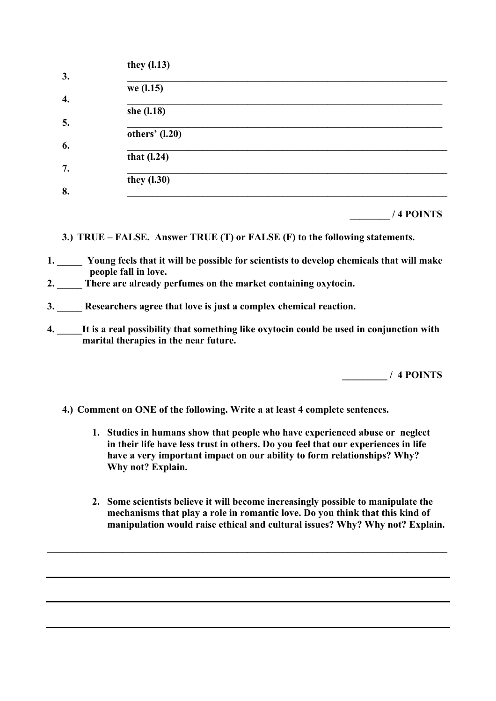|    | they $(1.13)$  |
|----|----------------|
| 3. |                |
|    | we (l.15)      |
| 4. |                |
|    | she (l.18)     |
| 5. |                |
|    | others' (1.20) |
| 6. |                |
|    | that $(l.24)$  |
| 7. |                |
|    | they $(1.30)$  |
| 8. |                |
|    |                |

|  | /4 POINTS |
|--|-----------|
|  |           |

- **3.) TRUE FALSE. Answer TRUE (T) or FALSE (F) to the following statements.**
- **1. \_\_\_\_\_ Young feels that it will be possible for scientists to develop chemicals that will make people fall in love.**
- **2. \_\_\_\_\_ There are already perfumes on the market containing oxytocin.**
- **3. \_\_\_\_\_ Researchers agree that love is just a complex chemical reaction.**
- **4. \_\_\_\_\_It is a real possibility that something like oxytocin could be used in conjunction with marital therapies in the near future.**

 **\_\_\_\_\_\_\_\_\_ / 4 POINTS**

- **4.) Comment on ONE of the following. Write a at least 4 complete sentences.**
	- **1. Studies in humans show that people who have experienced abuse or neglect in their life have less trust in others. Do you feel that our experiences in life have a very important impact on our ability to form relationships? Why? Why not? Explain.**
	- **2. Some scientists believe it will become increasingly possible to manipulate the mechanisms that play a role in romantic love. Do you think that this kind of manipulation would raise ethical and cultural issues? Why? Why not? Explain.**

 $\mathcal{L}_\mathcal{L} = \{ \mathcal{L}_\mathcal{L} = \{ \mathcal{L}_\mathcal{L} = \{ \mathcal{L}_\mathcal{L} = \{ \mathcal{L}_\mathcal{L} = \{ \mathcal{L}_\mathcal{L} = \{ \mathcal{L}_\mathcal{L} = \{ \mathcal{L}_\mathcal{L} = \{ \mathcal{L}_\mathcal{L} = \{ \mathcal{L}_\mathcal{L} = \{ \mathcal{L}_\mathcal{L} = \{ \mathcal{L}_\mathcal{L} = \{ \mathcal{L}_\mathcal{L} = \{ \mathcal{L}_\mathcal{L} = \{ \mathcal{L}_\mathcal{$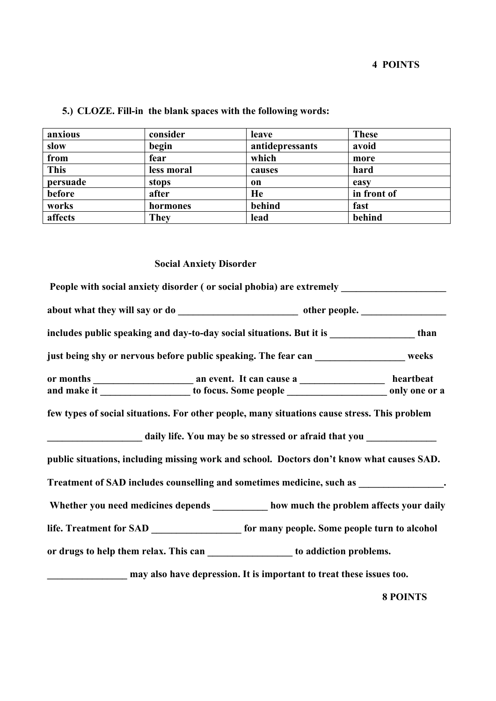| anxious     | consider   | leave           | <b>These</b> |
|-------------|------------|-----------------|--------------|
| slow        | begin      | antidepressants | avoid        |
| from        | fear       | which           | more         |
| <b>This</b> | less moral | causes          | hard         |
| persuade    | stops      | on              | easy         |
| before      | after      | He              | in front of  |
| works       | hormones   | behind          | fast         |
| affects     | They       | lead            | behind       |

## **5.) CLOZE. Fill-in the blank spaces with the following words:**

### **Social Anxiety Disorder**

| includes public speaking and day-to-day social situations. But it is _________________than |                                                                                                 |  |                 |  |  |
|--------------------------------------------------------------------------------------------|-------------------------------------------------------------------------------------------------|--|-----------------|--|--|
| just being shy or nervous before public speaking. The fear can ________________ weeks      |                                                                                                 |  |                 |  |  |
|                                                                                            |                                                                                                 |  |                 |  |  |
|                                                                                            | and make it _____________________ to focus. Some people _________________________ only one or a |  |                 |  |  |
| public situations, including missing work and school. Doctors don't know what causes SAD.  |                                                                                                 |  |                 |  |  |
| Treatment of SAD includes counselling and sometimes medicine, such as ______________.      |                                                                                                 |  |                 |  |  |
| Whether you need medicines depends ________ how much the problem affects your daily        |                                                                                                 |  |                 |  |  |
|                                                                                            |                                                                                                 |  |                 |  |  |
| or drugs to help them relax. This can ___________________ to addiction problems.           |                                                                                                 |  |                 |  |  |
| may also have depression. It is important to treat these issues too.                       |                                                                                                 |  |                 |  |  |
|                                                                                            |                                                                                                 |  | <b>8 POINTS</b> |  |  |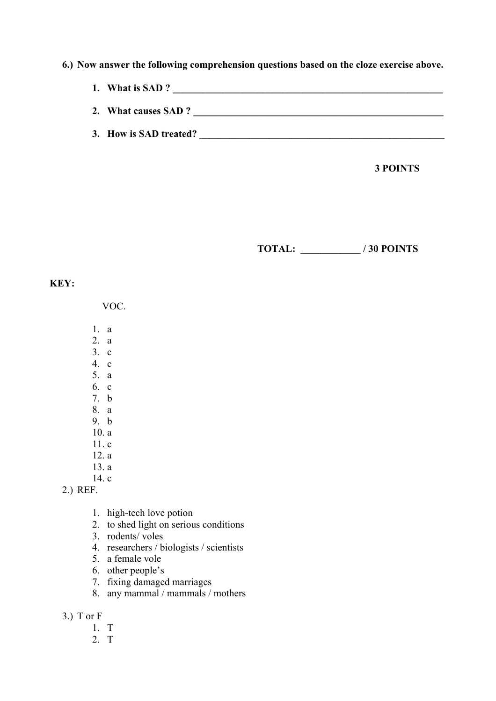### **6.) Now answer the following comprehension questions based on the cloze exercise above.**

- **1. What is SAD ? \_\_\_\_\_\_\_\_\_\_\_\_\_\_\_\_\_\_\_\_\_\_\_\_\_\_\_\_\_\_\_\_\_\_\_\_\_\_\_\_\_\_\_\_\_\_\_\_\_\_\_\_\_\_**
- **2. What causes SAD ? \_\_\_\_\_\_\_\_\_\_\_\_\_\_\_\_\_\_\_\_\_\_\_\_\_\_\_\_\_\_\_\_\_\_\_\_\_\_\_\_\_\_\_\_\_\_\_\_\_\_**
- 3. How is SAD treated?

 **3 POINTS**

 **TOTAL: \_\_\_\_\_\_\_\_\_\_\_\_ / 30 POINTS**

### **KEY:**

VOC.

- 1. a
- 2. a
- 3. c
- 4. c
- 5. a
- 6. c
- 7. b 8. a
- 9. b
- 10. a
- 11. c
- 12. a
- 13. a
- 14. c

### 2.) REF.

- 1. high-tech love potion
- 2. to shed light on serious conditions
- 3. rodents/ voles
- 4. researchers / biologists / scientists
- 5. a female vole
- 6. other people's
- 7. fixing damaged marriages
- 8. any mammal / mammals / mothers

3.) T or F

- 1. T
- 2. T